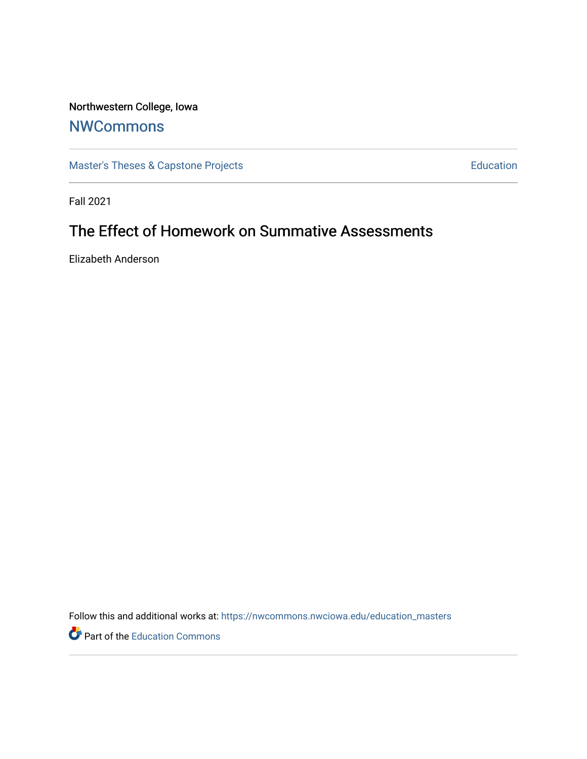## Northwestern College, Iowa

## **[NWCommons](https://nwcommons.nwciowa.edu/)**

[Master's Theses & Capstone Projects](https://nwcommons.nwciowa.edu/education_masters) **Education** Education

Fall 2021

# The Effect of Homework on Summative Assessments

Elizabeth Anderson

Follow this and additional works at: [https://nwcommons.nwciowa.edu/education\\_masters](https://nwcommons.nwciowa.edu/education_masters?utm_source=nwcommons.nwciowa.edu%2Feducation_masters%2F348&utm_medium=PDF&utm_campaign=PDFCoverPages)

**P** Part of the [Education Commons](http://network.bepress.com/hgg/discipline/784?utm_source=nwcommons.nwciowa.edu%2Feducation_masters%2F348&utm_medium=PDF&utm_campaign=PDFCoverPages)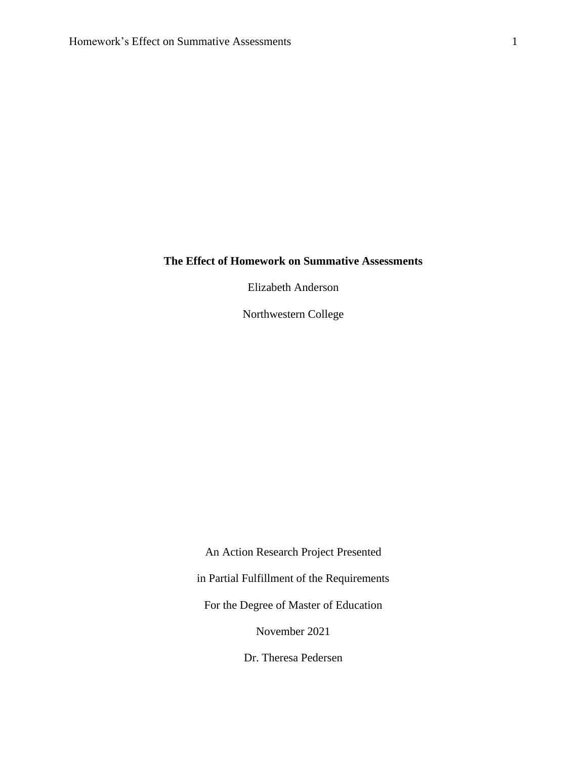#### **The Effect of Homework on Summative Assessments**

Elizabeth Anderson

Northwestern College

An Action Research Project Presented in Partial Fulfillment of the Requirements For the Degree of Master of Education November 2021 Dr. Theresa Pedersen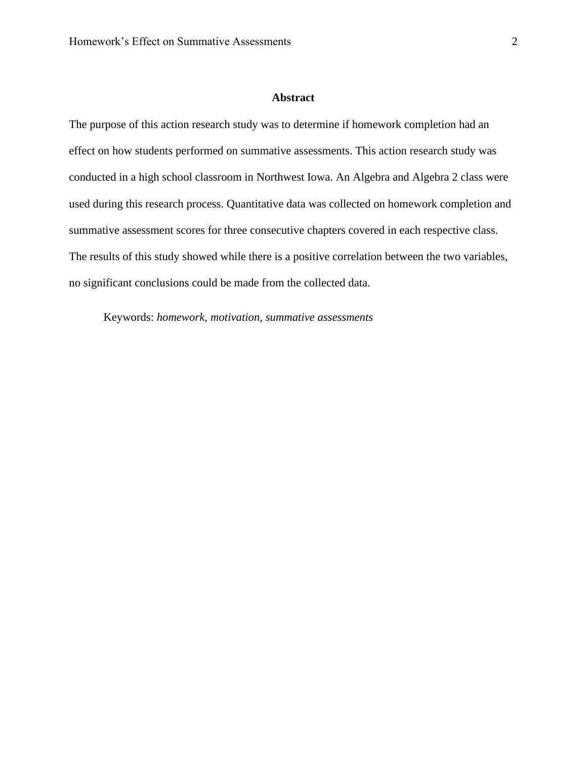#### **Abstract**

<span id="page-2-0"></span>The purpose of this action research study was to determine if homework completion had an effect on how students performed on summative assessments. This action research study was conducted in a high school classroom in Northwest Iowa. An Algebra and Algebra 2 class were used during this research process. Quantitative data was collected on homework completion and summative assessment scores for three consecutive chapters covered in each respective class. The results of this study showed while there is a positive correlation between the two variables, no significant conclusions could be made from the collected data.

Keywords: *homework, motivation, summative assessments*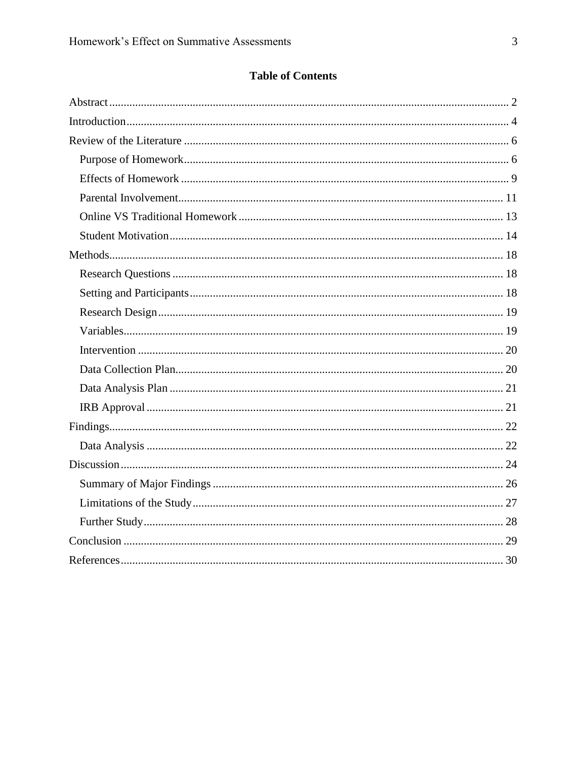### **Table of Contents**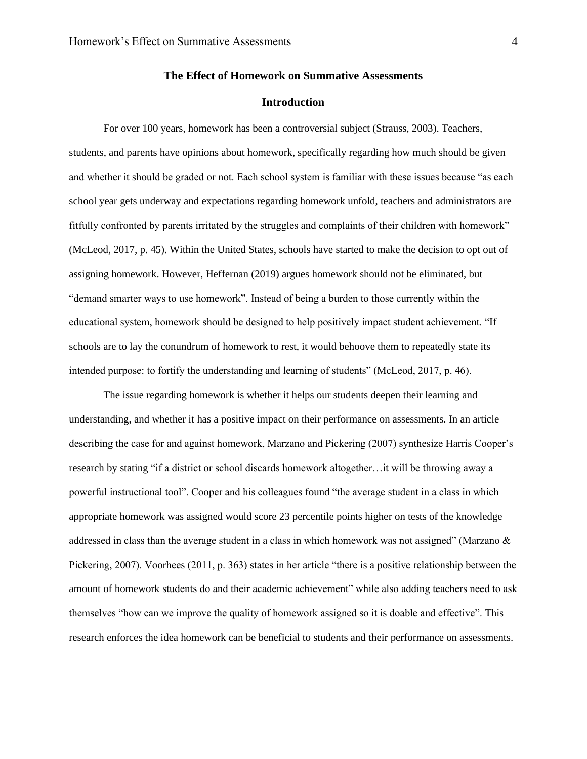#### **The Effect of Homework on Summative Assessments**

#### **Introduction**

<span id="page-4-0"></span>For over 100 years, homework has been a controversial subject (Strauss, 2003). Teachers, students, and parents have opinions about homework, specifically regarding how much should be given and whether it should be graded or not. Each school system is familiar with these issues because "as each school year gets underway and expectations regarding homework unfold, teachers and administrators are fitfully confronted by parents irritated by the struggles and complaints of their children with homework" (McLeod, 2017, p. 45). Within the United States, schools have started to make the decision to opt out of assigning homework. However, Heffernan (2019) argues homework should not be eliminated, but "demand smarter ways to use homework". Instead of being a burden to those currently within the educational system, homework should be designed to help positively impact student achievement. "If schools are to lay the conundrum of homework to rest, it would behoove them to repeatedly state its intended purpose: to fortify the understanding and learning of students" (McLeod, 2017, p. 46).

The issue regarding homework is whether it helps our students deepen their learning and understanding, and whether it has a positive impact on their performance on assessments. In an article describing the case for and against homework, Marzano and Pickering (2007) synthesize Harris Cooper's research by stating "if a district or school discards homework altogether…it will be throwing away a powerful instructional tool". Cooper and his colleagues found "the average student in a class in which appropriate homework was assigned would score 23 percentile points higher on tests of the knowledge addressed in class than the average student in a class in which homework was not assigned" (Marzano & Pickering, 2007). Voorhees (2011, p. 363) states in her article "there is a positive relationship between the amount of homework students do and their academic achievement" while also adding teachers need to ask themselves "how can we improve the quality of homework assigned so it is doable and effective". This research enforces the idea homework can be beneficial to students and their performance on assessments.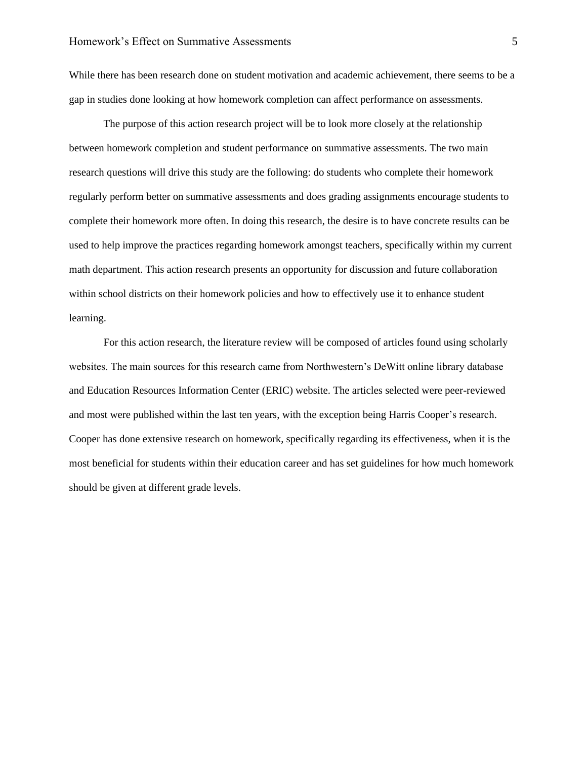While there has been research done on student motivation and academic achievement, there seems to be a gap in studies done looking at how homework completion can affect performance on assessments.

The purpose of this action research project will be to look more closely at the relationship between homework completion and student performance on summative assessments. The two main research questions will drive this study are the following: do students who complete their homework regularly perform better on summative assessments and does grading assignments encourage students to complete their homework more often. In doing this research, the desire is to have concrete results can be used to help improve the practices regarding homework amongst teachers, specifically within my current math department. This action research presents an opportunity for discussion and future collaboration within school districts on their homework policies and how to effectively use it to enhance student learning.

For this action research, the literature review will be composed of articles found using scholarly websites. The main sources for this research came from Northwestern's DeWitt online library database and Education Resources Information Center (ERIC) website. The articles selected were peer-reviewed and most were published within the last ten years, with the exception being Harris Cooper's research. Cooper has done extensive research on homework, specifically regarding its effectiveness, when it is the most beneficial for students within their education career and has set guidelines for how much homework should be given at different grade levels.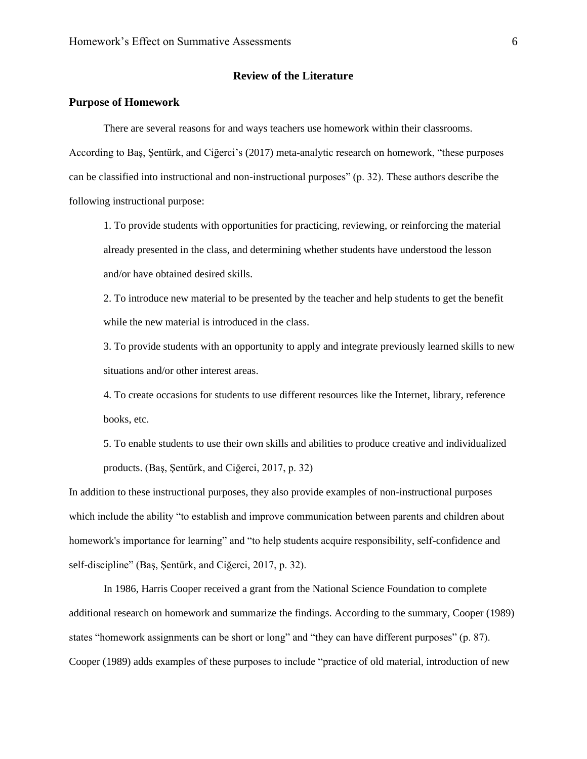#### **Review of the Literature**

#### <span id="page-6-1"></span><span id="page-6-0"></span>**Purpose of Homework**

There are several reasons for and ways teachers use homework within their classrooms.

According to Baş, Şentürk, and Ciğerci's (2017) meta-analytic research on homework, "these purposes can be classified into instructional and non-instructional purposes" (p. 32). These authors describe the following instructional purpose:

1. To provide students with opportunities for practicing, reviewing, or reinforcing the material already presented in the class, and determining whether students have understood the lesson and/or have obtained desired skills.

2. To introduce new material to be presented by the teacher and help students to get the benefit while the new material is introduced in the class.

3. To provide students with an opportunity to apply and integrate previously learned skills to new situations and/or other interest areas.

4. To create occasions for students to use different resources like the Internet, library, reference books, etc.

5. To enable students to use their own skills and abilities to produce creative and individualized products. (Baş, Şentürk, and Ciğerci, 2017, p. 32)

In addition to these instructional purposes, they also provide examples of non-instructional purposes which include the ability "to establish and improve communication between parents and children about homework's importance for learning" and "to help students acquire responsibility, self-confidence and self-discipline" (Baş, Şentürk, and Ciğerci, 2017, p. 32).

In 1986, Harris Cooper received a grant from the National Science Foundation to complete additional research on homework and summarize the findings. According to the summary, Cooper (1989) states "homework assignments can be short or long" and "they can have different purposes" (p. 87). Cooper (1989) adds examples of these purposes to include "practice of old material, introduction of new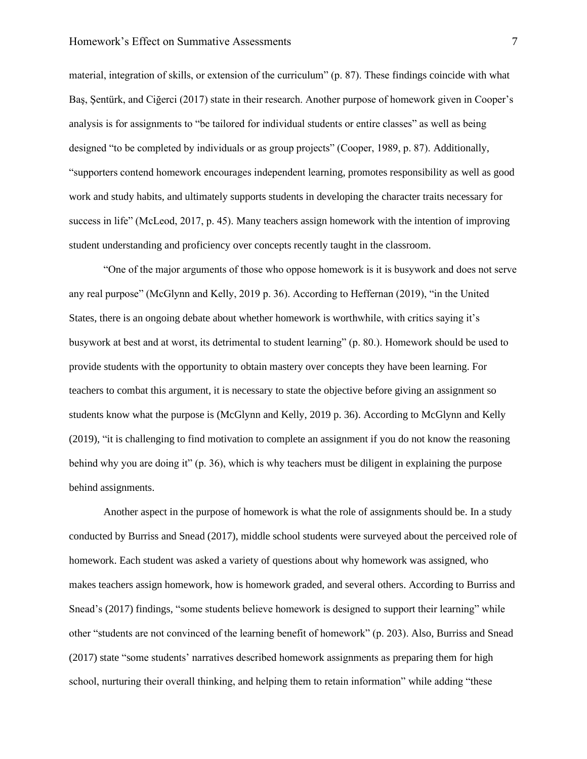material, integration of skills, or extension of the curriculum" (p. 87). These findings coincide with what Baş, Şentürk, and Ciğerci (2017) state in their research. Another purpose of homework given in Cooper's analysis is for assignments to "be tailored for individual students or entire classes" as well as being designed "to be completed by individuals or as group projects" (Cooper, 1989, p. 87). Additionally, "supporters contend homework encourages independent learning, promotes responsibility as well as good work and study habits, and ultimately supports students in developing the character traits necessary for success in life" (McLeod, 2017, p. 45). Many teachers assign homework with the intention of improving student understanding and proficiency over concepts recently taught in the classroom.

"One of the major arguments of those who oppose homework is it is busywork and does not serve any real purpose" (McGlynn and Kelly, 2019 p. 36). According to Heffernan (2019), "in the United States, there is an ongoing debate about whether homework is worthwhile, with critics saying it's busywork at best and at worst, its detrimental to student learning" (p. 80.). Homework should be used to provide students with the opportunity to obtain mastery over concepts they have been learning. For teachers to combat this argument, it is necessary to state the objective before giving an assignment so students know what the purpose is (McGlynn and Kelly, 2019 p. 36). According to McGlynn and Kelly (2019), "it is challenging to find motivation to complete an assignment if you do not know the reasoning behind why you are doing it" (p. 36), which is why teachers must be diligent in explaining the purpose behind assignments.

Another aspect in the purpose of homework is what the role of assignments should be. In a study conducted by Burriss and Snead (2017), middle school students were surveyed about the perceived role of homework. Each student was asked a variety of questions about why homework was assigned, who makes teachers assign homework, how is homework graded, and several others. According to Burriss and Snead's (2017) findings, "some students believe homework is designed to support their learning" while other "students are not convinced of the learning benefit of homework" (p. 203). Also, Burriss and Snead (2017) state "some students' narratives described homework assignments as preparing them for high school, nurturing their overall thinking, and helping them to retain information" while adding "these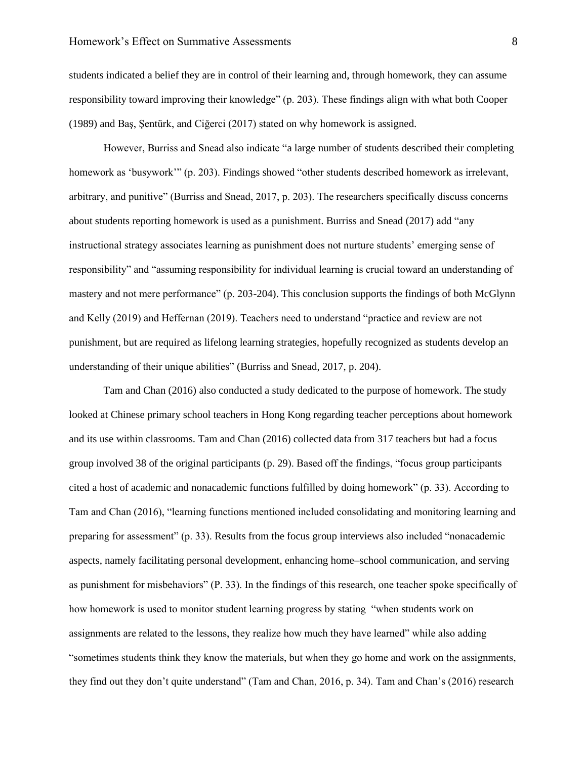students indicated a belief they are in control of their learning and, through homework, they can assume responsibility toward improving their knowledge" (p. 203). These findings align with what both Cooper (1989) and Baş, Şentürk, and Ciğerci (2017) stated on why homework is assigned.

However, Burriss and Snead also indicate "a large number of students described their completing homework as 'busywork'" (p. 203). Findings showed "other students described homework as irrelevant, arbitrary, and punitive" (Burriss and Snead, 2017, p. 203). The researchers specifically discuss concerns about students reporting homework is used as a punishment. Burriss and Snead (2017) add "any instructional strategy associates learning as punishment does not nurture students' emerging sense of responsibility" and "assuming responsibility for individual learning is crucial toward an understanding of mastery and not mere performance" (p. 203-204). This conclusion supports the findings of both McGlynn and Kelly (2019) and Heffernan (2019). Teachers need to understand "practice and review are not punishment, but are required as lifelong learning strategies, hopefully recognized as students develop an understanding of their unique abilities" (Burriss and Snead, 2017, p. 204).

Tam and Chan (2016) also conducted a study dedicated to the purpose of homework. The study looked at Chinese primary school teachers in Hong Kong regarding teacher perceptions about homework and its use within classrooms. Tam and Chan (2016) collected data from 317 teachers but had a focus group involved 38 of the original participants (p. 29). Based off the findings, "focus group participants cited a host of academic and nonacademic functions fulfilled by doing homework" (p. 33). According to Tam and Chan (2016), "learning functions mentioned included consolidating and monitoring learning and preparing for assessment" (p. 33). Results from the focus group interviews also included "nonacademic aspects, namely facilitating personal development, enhancing home–school communication, and serving as punishment for misbehaviors" (P. 33). In the findings of this research, one teacher spoke specifically of how homework is used to monitor student learning progress by stating "when students work on assignments are related to the lessons, they realize how much they have learned" while also adding "sometimes students think they know the materials, but when they go home and work on the assignments, they find out they don't quite understand" (Tam and Chan, 2016, p. 34). Tam and Chan's (2016) research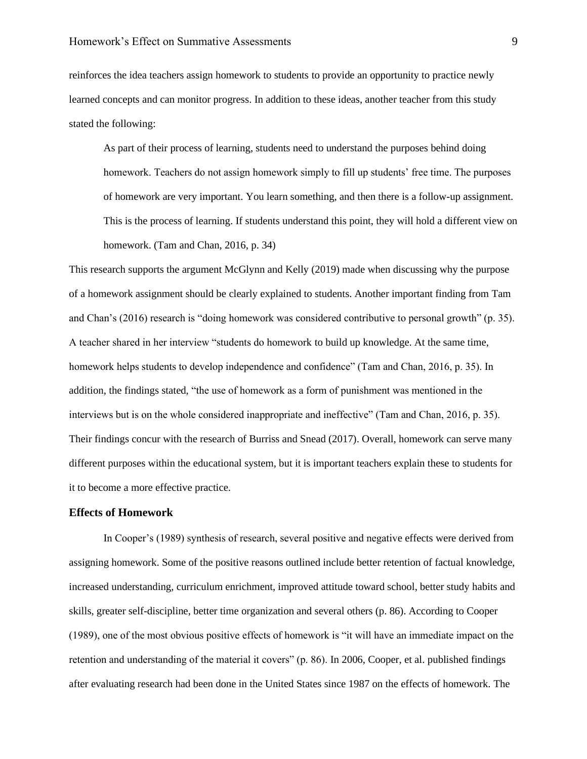reinforces the idea teachers assign homework to students to provide an opportunity to practice newly learned concepts and can monitor progress. In addition to these ideas, another teacher from this study stated the following:

As part of their process of learning, students need to understand the purposes behind doing homework. Teachers do not assign homework simply to fill up students' free time. The purposes of homework are very important. You learn something, and then there is a follow-up assignment. This is the process of learning. If students understand this point, they will hold a different view on homework. (Tam and Chan, 2016, p. 34)

This research supports the argument McGlynn and Kelly (2019) made when discussing why the purpose of a homework assignment should be clearly explained to students. Another important finding from Tam and Chan's (2016) research is "doing homework was considered contributive to personal growth" (p. 35). A teacher shared in her interview "students do homework to build up knowledge. At the same time, homework helps students to develop independence and confidence" (Tam and Chan, 2016, p. 35). In addition, the findings stated, "the use of homework as a form of punishment was mentioned in the interviews but is on the whole considered inappropriate and ineffective" (Tam and Chan, 2016, p. 35). Their findings concur with the research of Burriss and Snead (2017). Overall, homework can serve many different purposes within the educational system, but it is important teachers explain these to students for it to become a more effective practice.

#### <span id="page-9-0"></span>**Effects of Homework**

In Cooper's (1989) synthesis of research, several positive and negative effects were derived from assigning homework. Some of the positive reasons outlined include better retention of factual knowledge, increased understanding, curriculum enrichment, improved attitude toward school, better study habits and skills, greater self-discipline, better time organization and several others (p. 86). According to Cooper (1989), one of the most obvious positive effects of homework is "it will have an immediate impact on the retention and understanding of the material it covers" (p. 86). In 2006, Cooper, et al. published findings after evaluating research had been done in the United States since 1987 on the effects of homework. The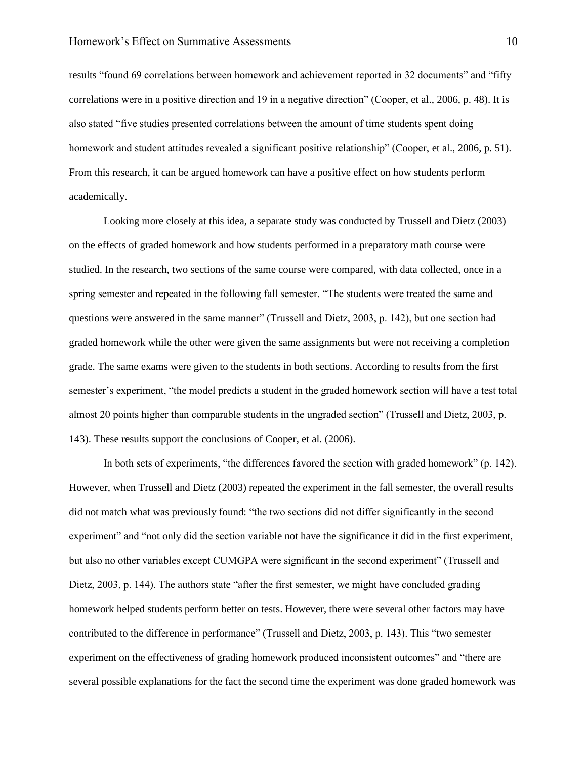results "found 69 correlations between homework and achievement reported in 32 documents" and "fifty correlations were in a positive direction and 19 in a negative direction" (Cooper, et al., 2006, p. 48). It is also stated "five studies presented correlations between the amount of time students spent doing homework and student attitudes revealed a significant positive relationship" (Cooper, et al., 2006, p. 51). From this research, it can be argued homework can have a positive effect on how students perform academically.

Looking more closely at this idea, a separate study was conducted by Trussell and Dietz (2003) on the effects of graded homework and how students performed in a preparatory math course were studied. In the research, two sections of the same course were compared, with data collected, once in a spring semester and repeated in the following fall semester. "The students were treated the same and questions were answered in the same manner" (Trussell and Dietz, 2003, p. 142), but one section had graded homework while the other were given the same assignments but were not receiving a completion grade. The same exams were given to the students in both sections. According to results from the first semester's experiment, "the model predicts a student in the graded homework section will have a test total almost 20 points higher than comparable students in the ungraded section" (Trussell and Dietz, 2003, p. 143). These results support the conclusions of Cooper, et al. (2006).

In both sets of experiments, "the differences favored the section with graded homework" (p. 142). However, when Trussell and Dietz (2003) repeated the experiment in the fall semester, the overall results did not match what was previously found: "the two sections did not differ significantly in the second experiment" and "not only did the section variable not have the significance it did in the first experiment, but also no other variables except CUMGPA were significant in the second experiment" (Trussell and Dietz, 2003, p. 144). The authors state "after the first semester, we might have concluded grading homework helped students perform better on tests. However, there were several other factors may have contributed to the difference in performance" (Trussell and Dietz, 2003, p. 143). This "two semester experiment on the effectiveness of grading homework produced inconsistent outcomes" and "there are several possible explanations for the fact the second time the experiment was done graded homework was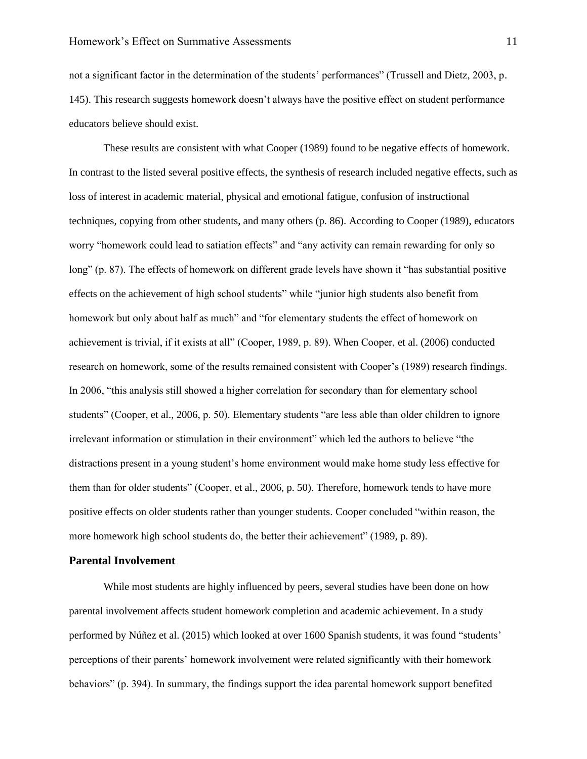not a significant factor in the determination of the students' performances" (Trussell and Dietz, 2003, p. 145). This research suggests homework doesn't always have the positive effect on student performance educators believe should exist.

These results are consistent with what Cooper (1989) found to be negative effects of homework. In contrast to the listed several positive effects, the synthesis of research included negative effects, such as loss of interest in academic material, physical and emotional fatigue, confusion of instructional techniques, copying from other students, and many others (p. 86). According to Cooper (1989), educators worry "homework could lead to satiation effects" and "any activity can remain rewarding for only so long" (p. 87). The effects of homework on different grade levels have shown it "has substantial positive effects on the achievement of high school students" while "junior high students also benefit from homework but only about half as much" and "for elementary students the effect of homework on achievement is trivial, if it exists at all" (Cooper, 1989, p. 89). When Cooper, et al. (2006) conducted research on homework, some of the results remained consistent with Cooper's (1989) research findings. In 2006, "this analysis still showed a higher correlation for secondary than for elementary school students" (Cooper, et al., 2006, p. 50). Elementary students "are less able than older children to ignore irrelevant information or stimulation in their environment" which led the authors to believe "the distractions present in a young student's home environment would make home study less effective for them than for older students" (Cooper, et al., 2006, p. 50). Therefore, homework tends to have more positive effects on older students rather than younger students. Cooper concluded "within reason, the more homework high school students do, the better their achievement" (1989, p. 89).

#### <span id="page-11-0"></span>**Parental Involvement**

While most students are highly influenced by peers, several studies have been done on how parental involvement affects student homework completion and academic achievement. In a study performed by Núñez et al. (2015) which looked at over 1600 Spanish students, it was found "students' perceptions of their parents' homework involvement were related significantly with their homework behaviors" (p. 394). In summary, the findings support the idea parental homework support benefited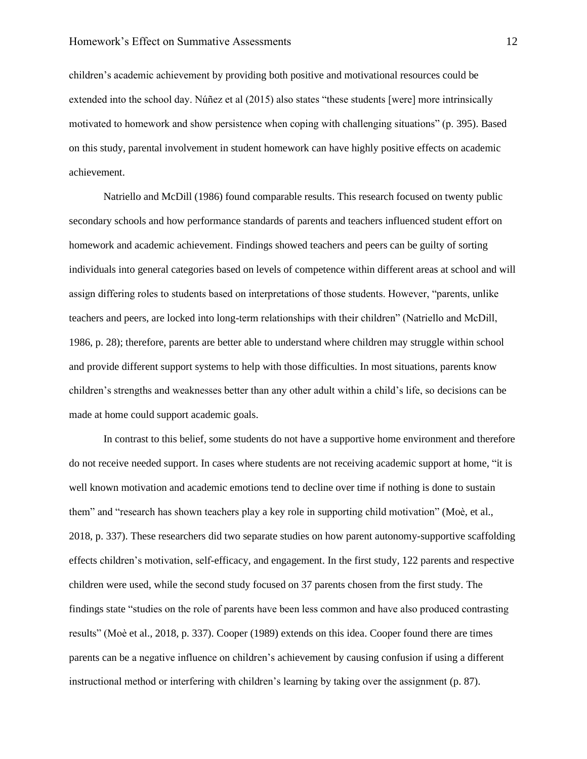children's academic achievement by providing both positive and motivational resources could be extended into the school day. Núñez et al (2015) also states "these students [were] more intrinsically motivated to homework and show persistence when coping with challenging situations" (p. 395). Based on this study, parental involvement in student homework can have highly positive effects on academic achievement.

Natriello and McDill (1986) found comparable results. This research focused on twenty public secondary schools and how performance standards of parents and teachers influenced student effort on homework and academic achievement. Findings showed teachers and peers can be guilty of sorting individuals into general categories based on levels of competence within different areas at school and will assign differing roles to students based on interpretations of those students. However, "parents, unlike teachers and peers, are locked into long-term relationships with their children" (Natriello and McDill, 1986, p. 28); therefore, parents are better able to understand where children may struggle within school and provide different support systems to help with those difficulties. In most situations, parents know children's strengths and weaknesses better than any other adult within a child's life, so decisions can be made at home could support academic goals.

In contrast to this belief, some students do not have a supportive home environment and therefore do not receive needed support. In cases where students are not receiving academic support at home, "it is well known motivation and academic emotions tend to decline over time if nothing is done to sustain them" and "research has shown teachers play a key role in supporting child motivation" (Moè, et al., 2018, p. 337). These researchers did two separate studies on how parent autonomy-supportive scaffolding effects children's motivation, self-efficacy, and engagement. In the first study, 122 parents and respective children were used, while the second study focused on 37 parents chosen from the first study. The findings state "studies on the role of parents have been less common and have also produced contrasting results" (Moè et al., 2018, p. 337). Cooper (1989) extends on this idea. Cooper found there are times parents can be a negative influence on children's achievement by causing confusion if using a different instructional method or interfering with children's learning by taking over the assignment (p. 87).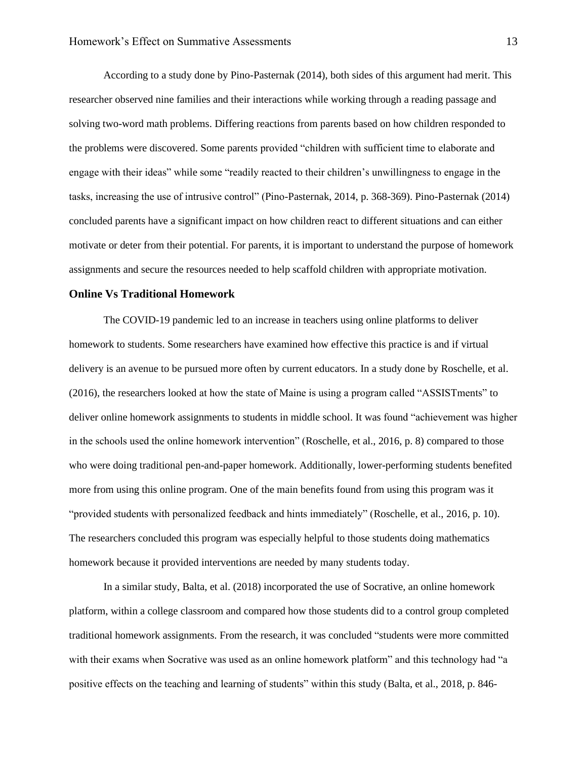According to a study done by Pino-Pasternak (2014), both sides of this argument had merit. This researcher observed nine families and their interactions while working through a reading passage and solving two-word math problems. Differing reactions from parents based on how children responded to the problems were discovered. Some parents provided "children with sufficient time to elaborate and engage with their ideas" while some "readily reacted to their children's unwillingness to engage in the tasks, increasing the use of intrusive control" (Pino-Pasternak, 2014, p. 368-369). Pino-Pasternak (2014) concluded parents have a significant impact on how children react to different situations and can either motivate or deter from their potential. For parents, it is important to understand the purpose of homework assignments and secure the resources needed to help scaffold children with appropriate motivation.

#### <span id="page-13-0"></span>**Online Vs Traditional Homework**

The COVID-19 pandemic led to an increase in teachers using online platforms to deliver homework to students. Some researchers have examined how effective this practice is and if virtual delivery is an avenue to be pursued more often by current educators. In a study done by Roschelle, et al. (2016), the researchers looked at how the state of Maine is using a program called "ASSISTments" to deliver online homework assignments to students in middle school. It was found "achievement was higher in the schools used the online homework intervention" (Roschelle, et al., 2016, p. 8) compared to those who were doing traditional pen-and-paper homework. Additionally, lower-performing students benefited more from using this online program. One of the main benefits found from using this program was it "provided students with personalized feedback and hints immediately" (Roschelle, et al., 2016, p. 10). The researchers concluded this program was especially helpful to those students doing mathematics homework because it provided interventions are needed by many students today.

In a similar study, Balta, et al. (2018) incorporated the use of Socrative, an online homework platform, within a college classroom and compared how those students did to a control group completed traditional homework assignments. From the research, it was concluded "students were more committed with their exams when Socrative was used as an online homework platform" and this technology had "a positive effects on the teaching and learning of students" within this study (Balta, et al., 2018, p. 846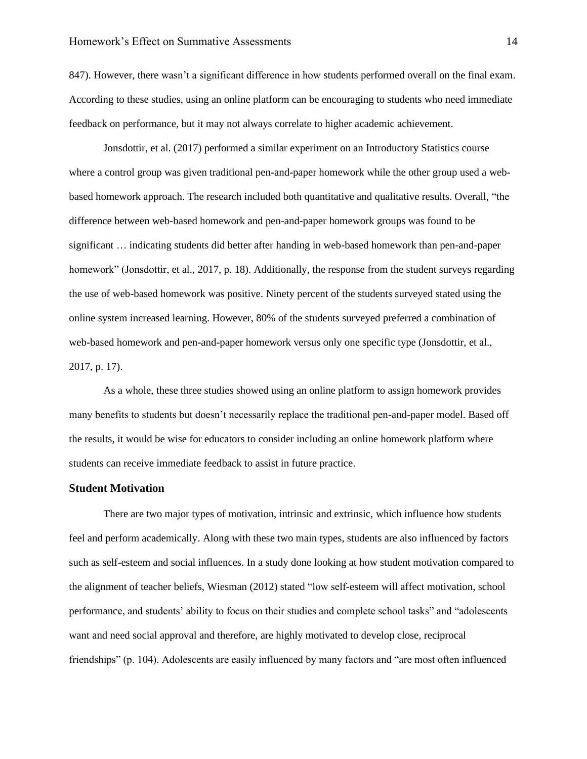847). However, there wasn't a significant difference in how students performed overall on the final exam. According to these studies, using an online platform can be encouraging to students who need immediate feedback on performance, but it may not always correlate to higher academic achievement.

Jonsdottir, et al. (2017) performed a similar experiment on an Introductory Statistics course where a control group was given traditional pen-and-paper homework while the other group used a webbased homework approach. The research included both quantitative and qualitative results. Overall, "the difference between web-based homework and pen-and-paper homework groups was found to be significant … indicating students did better after handing in web-based homework than pen-and-paper homework" (Jonsdottir, et al., 2017, p. 18). Additionally, the response from the student surveys regarding the use of web-based homework was positive. Ninety percent of the students surveyed stated using the online system increased learning. However, 80% of the students surveyed preferred a combination of web-based homework and pen-and-paper homework versus only one specific type (Jonsdottir, et al., 2017, p. 17).

As a whole, these three studies showed using an online platform to assign homework provides many benefits to students but doesn't necessarily replace the traditional pen-and-paper model. Based off the results, it would be wise for educators to consider including an online homework platform where students can receive immediate feedback to assist in future practice.

#### <span id="page-14-0"></span>**Student Motivation**

There are two major types of motivation, intrinsic and extrinsic, which influence how students feel and perform academically. Along with these two main types, students are also influenced by factors such as self-esteem and social influences. In a study done looking at how student motivation compared to the alignment of teacher beliefs, Wiesman (2012) stated "low self-esteem will affect motivation, school performance, and students' ability to focus on their studies and complete school tasks" and "adolescents want and need social approval and therefore, are highly motivated to develop close, reciprocal friendships" (p. 104). Adolescents are easily influenced by many factors and "are most often influenced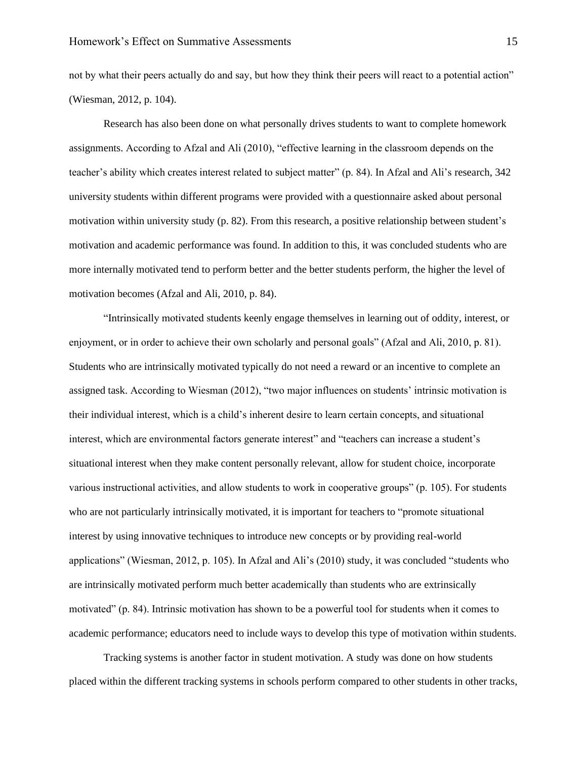not by what their peers actually do and say, but how they think their peers will react to a potential action" (Wiesman, 2012, p. 104).

Research has also been done on what personally drives students to want to complete homework assignments. According to Afzal and Ali (2010), "effective learning in the classroom depends on the teacher's ability which creates interest related to subject matter" (p. 84). In Afzal and Ali's research, 342 university students within different programs were provided with a questionnaire asked about personal motivation within university study (p. 82). From this research, a positive relationship between student's motivation and academic performance was found. In addition to this, it was concluded students who are more internally motivated tend to perform better and the better students perform, the higher the level of motivation becomes (Afzal and Ali, 2010, p. 84).

"Intrinsically motivated students keenly engage themselves in learning out of oddity, interest, or enjoyment, or in order to achieve their own scholarly and personal goals" (Afzal and Ali, 2010, p. 81). Students who are intrinsically motivated typically do not need a reward or an incentive to complete an assigned task. According to Wiesman (2012), "two major influences on students' intrinsic motivation is their individual interest, which is a child's inherent desire to learn certain concepts, and situational interest, which are environmental factors generate interest" and "teachers can increase a student's situational interest when they make content personally relevant, allow for student choice, incorporate various instructional activities, and allow students to work in cooperative groups" (p. 105). For students who are not particularly intrinsically motivated, it is important for teachers to "promote situational interest by using innovative techniques to introduce new concepts or by providing real-world applications" (Wiesman, 2012, p. 105). In Afzal and Ali's (2010) study, it was concluded "students who are intrinsically motivated perform much better academically than students who are extrinsically motivated" (p. 84). Intrinsic motivation has shown to be a powerful tool for students when it comes to academic performance; educators need to include ways to develop this type of motivation within students.

Tracking systems is another factor in student motivation. A study was done on how students placed within the different tracking systems in schools perform compared to other students in other tracks,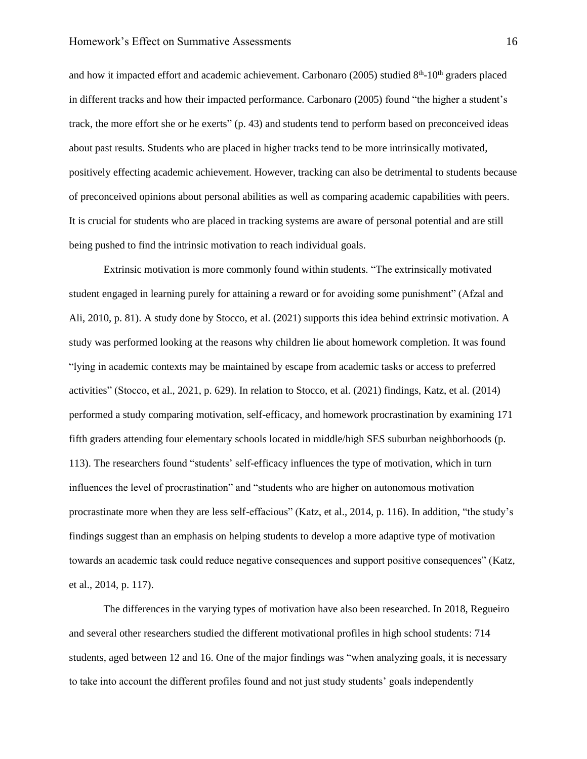and how it impacted effort and academic achievement. Carbonaro (2005) studied 8<sup>th</sup>-10<sup>th</sup> graders placed in different tracks and how their impacted performance. Carbonaro (2005) found "the higher a student's track, the more effort she or he exerts" (p. 43) and students tend to perform based on preconceived ideas about past results. Students who are placed in higher tracks tend to be more intrinsically motivated, positively effecting academic achievement. However, tracking can also be detrimental to students because of preconceived opinions about personal abilities as well as comparing academic capabilities with peers. It is crucial for students who are placed in tracking systems are aware of personal potential and are still being pushed to find the intrinsic motivation to reach individual goals.

Extrinsic motivation is more commonly found within students. "The extrinsically motivated student engaged in learning purely for attaining a reward or for avoiding some punishment" (Afzal and Ali, 2010, p. 81). A study done by Stocco, et al. (2021) supports this idea behind extrinsic motivation. A study was performed looking at the reasons why children lie about homework completion. It was found "lying in academic contexts may be maintained by escape from academic tasks or access to preferred activities" (Stocco, et al., 2021, p. 629). In relation to Stocco, et al. (2021) findings, Katz, et al. (2014) performed a study comparing motivation, self-efficacy, and homework procrastination by examining 171 fifth graders attending four elementary schools located in middle/high SES suburban neighborhoods (p. 113). The researchers found "students' self-efficacy influences the type of motivation, which in turn influences the level of procrastination" and "students who are higher on autonomous motivation procrastinate more when they are less self-effacious" (Katz, et al., 2014, p. 116). In addition, "the study's findings suggest than an emphasis on helping students to develop a more adaptive type of motivation towards an academic task could reduce negative consequences and support positive consequences" (Katz, et al., 2014, p. 117).

The differences in the varying types of motivation have also been researched. In 2018, Regueiro and several other researchers studied the different motivational profiles in high school students: 714 students, aged between 12 and 16. One of the major findings was "when analyzing goals, it is necessary to take into account the different profiles found and not just study students' goals independently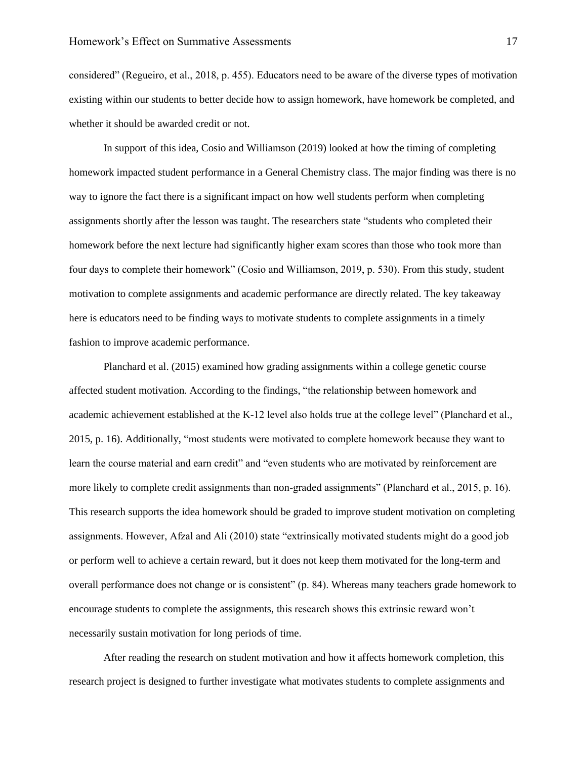considered" (Regueiro, et al., 2018, p. 455). Educators need to be aware of the diverse types of motivation existing within our students to better decide how to assign homework, have homework be completed, and whether it should be awarded credit or not.

In support of this idea, Cosio and Williamson (2019) looked at how the timing of completing homework impacted student performance in a General Chemistry class. The major finding was there is no way to ignore the fact there is a significant impact on how well students perform when completing assignments shortly after the lesson was taught. The researchers state "students who completed their homework before the next lecture had significantly higher exam scores than those who took more than four days to complete their homework" (Cosio and Williamson, 2019, p. 530). From this study, student motivation to complete assignments and academic performance are directly related. The key takeaway here is educators need to be finding ways to motivate students to complete assignments in a timely fashion to improve academic performance.

Planchard et al. (2015) examined how grading assignments within a college genetic course affected student motivation. According to the findings, "the relationship between homework and academic achievement established at the K-12 level also holds true at the college level" (Planchard et al., 2015, p. 16). Additionally, "most students were motivated to complete homework because they want to learn the course material and earn credit" and "even students who are motivated by reinforcement are more likely to complete credit assignments than non-graded assignments" (Planchard et al., 2015, p. 16). This research supports the idea homework should be graded to improve student motivation on completing assignments. However, Afzal and Ali (2010) state "extrinsically motivated students might do a good job or perform well to achieve a certain reward, but it does not keep them motivated for the long-term and overall performance does not change or is consistent" (p. 84). Whereas many teachers grade homework to encourage students to complete the assignments, this research shows this extrinsic reward won't necessarily sustain motivation for long periods of time.

After reading the research on student motivation and how it affects homework completion, this research project is designed to further investigate what motivates students to complete assignments and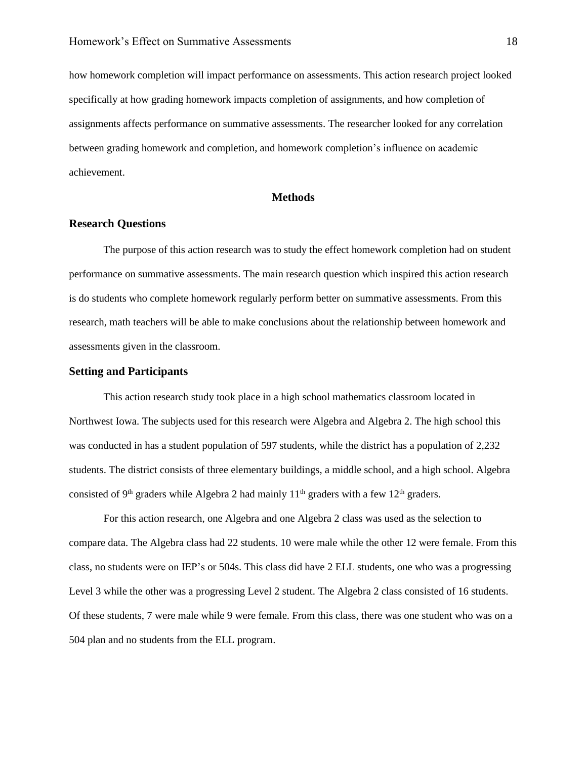how homework completion will impact performance on assessments. This action research project looked specifically at how grading homework impacts completion of assignments, and how completion of assignments affects performance on summative assessments. The researcher looked for any correlation between grading homework and completion, and homework completion's influence on academic achievement.

#### **Methods**

#### <span id="page-18-1"></span><span id="page-18-0"></span>**Research Questions**

The purpose of this action research was to study the effect homework completion had on student performance on summative assessments. The main research question which inspired this action research is do students who complete homework regularly perform better on summative assessments. From this research, math teachers will be able to make conclusions about the relationship between homework and assessments given in the classroom.

#### <span id="page-18-2"></span>**Setting and Participants**

This action research study took place in a high school mathematics classroom located in Northwest Iowa. The subjects used for this research were Algebra and Algebra 2. The high school this was conducted in has a student population of 597 students, while the district has a population of 2,232 students. The district consists of three elementary buildings, a middle school, and a high school. Algebra consisted of 9<sup>th</sup> graders while Algebra 2 had mainly  $11<sup>th</sup>$  graders with a few  $12<sup>th</sup>$  graders.

For this action research, one Algebra and one Algebra 2 class was used as the selection to compare data. The Algebra class had 22 students. 10 were male while the other 12 were female. From this class, no students were on IEP's or 504s. This class did have 2 ELL students, one who was a progressing Level 3 while the other was a progressing Level 2 student. The Algebra 2 class consisted of 16 students. Of these students, 7 were male while 9 were female. From this class, there was one student who was on a 504 plan and no students from the ELL program.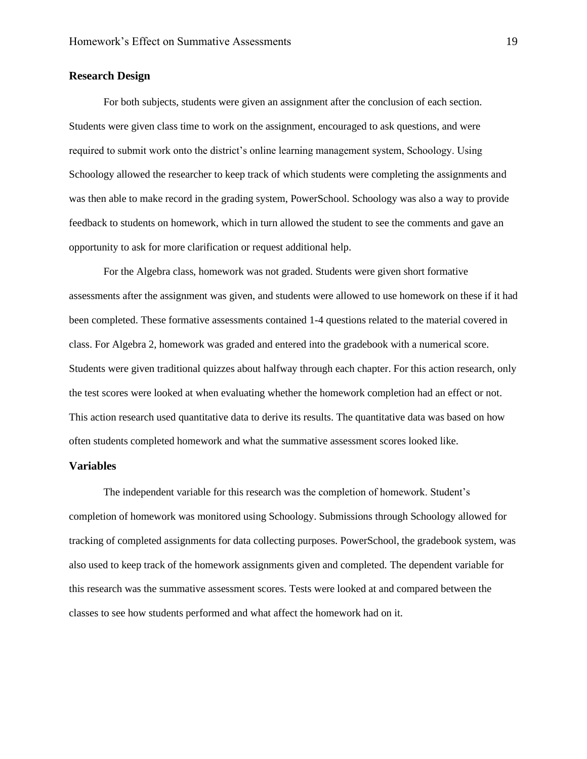#### <span id="page-19-0"></span>**Research Design**

For both subjects, students were given an assignment after the conclusion of each section. Students were given class time to work on the assignment, encouraged to ask questions, and were required to submit work onto the district's online learning management system, Schoology. Using Schoology allowed the researcher to keep track of which students were completing the assignments and was then able to make record in the grading system, PowerSchool. Schoology was also a way to provide feedback to students on homework, which in turn allowed the student to see the comments and gave an opportunity to ask for more clarification or request additional help.

For the Algebra class, homework was not graded. Students were given short formative assessments after the assignment was given, and students were allowed to use homework on these if it had been completed. These formative assessments contained 1-4 questions related to the material covered in class. For Algebra 2, homework was graded and entered into the gradebook with a numerical score. Students were given traditional quizzes about halfway through each chapter. For this action research, only the test scores were looked at when evaluating whether the homework completion had an effect or not. This action research used quantitative data to derive its results. The quantitative data was based on how often students completed homework and what the summative assessment scores looked like.

#### <span id="page-19-1"></span>**Variables**

The independent variable for this research was the completion of homework. Student's completion of homework was monitored using Schoology. Submissions through Schoology allowed for tracking of completed assignments for data collecting purposes. PowerSchool, the gradebook system, was also used to keep track of the homework assignments given and completed. The dependent variable for this research was the summative assessment scores. Tests were looked at and compared between the classes to see how students performed and what affect the homework had on it.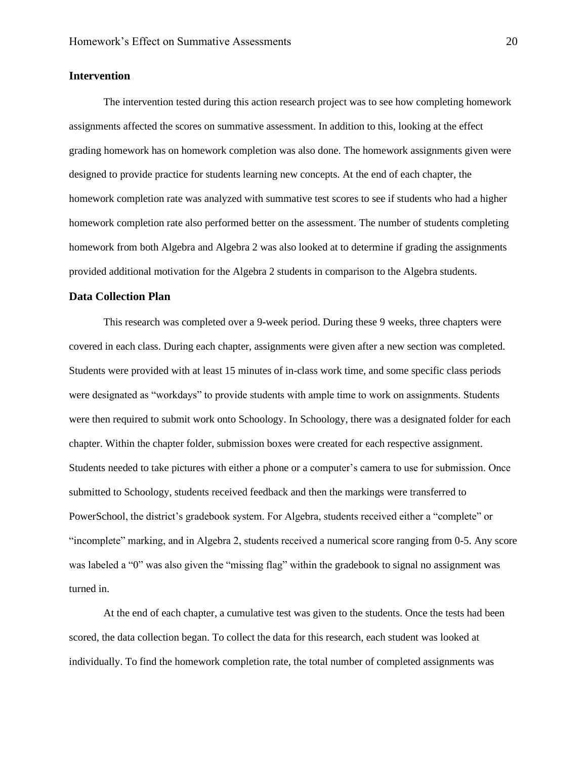#### <span id="page-20-0"></span>**Intervention**

The intervention tested during this action research project was to see how completing homework assignments affected the scores on summative assessment. In addition to this, looking at the effect grading homework has on homework completion was also done. The homework assignments given were designed to provide practice for students learning new concepts. At the end of each chapter, the homework completion rate was analyzed with summative test scores to see if students who had a higher homework completion rate also performed better on the assessment. The number of students completing homework from both Algebra and Algebra 2 was also looked at to determine if grading the assignments provided additional motivation for the Algebra 2 students in comparison to the Algebra students.

#### <span id="page-20-1"></span>**Data Collection Plan**

This research was completed over a 9-week period. During these 9 weeks, three chapters were covered in each class. During each chapter, assignments were given after a new section was completed. Students were provided with at least 15 minutes of in-class work time, and some specific class periods were designated as "workdays" to provide students with ample time to work on assignments. Students were then required to submit work onto Schoology. In Schoology, there was a designated folder for each chapter. Within the chapter folder, submission boxes were created for each respective assignment. Students needed to take pictures with either a phone or a computer's camera to use for submission. Once submitted to Schoology, students received feedback and then the markings were transferred to PowerSchool, the district's gradebook system. For Algebra, students received either a "complete" or "incomplete" marking, and in Algebra 2, students received a numerical score ranging from 0-5. Any score was labeled a "0" was also given the "missing flag" within the gradebook to signal no assignment was turned in.

At the end of each chapter, a cumulative test was given to the students. Once the tests had been scored, the data collection began. To collect the data for this research, each student was looked at individually. To find the homework completion rate, the total number of completed assignments was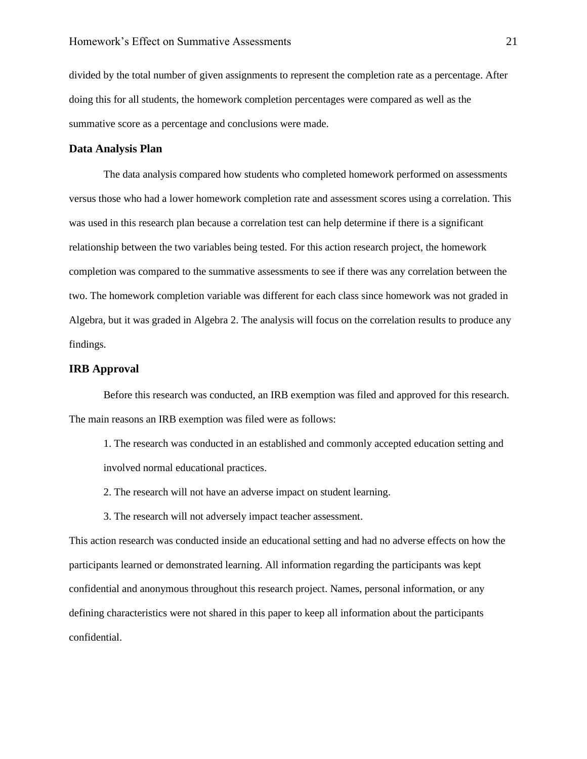divided by the total number of given assignments to represent the completion rate as a percentage. After doing this for all students, the homework completion percentages were compared as well as the summative score as a percentage and conclusions were made.

#### <span id="page-21-0"></span>**Data Analysis Plan**

The data analysis compared how students who completed homework performed on assessments versus those who had a lower homework completion rate and assessment scores using a correlation. This was used in this research plan because a correlation test can help determine if there is a significant relationship between the two variables being tested. For this action research project, the homework completion was compared to the summative assessments to see if there was any correlation between the two. The homework completion variable was different for each class since homework was not graded in Algebra, but it was graded in Algebra 2. The analysis will focus on the correlation results to produce any findings.

#### <span id="page-21-1"></span>**IRB Approval**

Before this research was conducted, an IRB exemption was filed and approved for this research. The main reasons an IRB exemption was filed were as follows:

- 1. The research was conducted in an established and commonly accepted education setting and involved normal educational practices.
- 2. The research will not have an adverse impact on student learning.
- 3. The research will not adversely impact teacher assessment.

This action research was conducted inside an educational setting and had no adverse effects on how the participants learned or demonstrated learning. All information regarding the participants was kept confidential and anonymous throughout this research project. Names, personal information, or any defining characteristics were not shared in this paper to keep all information about the participants confidential.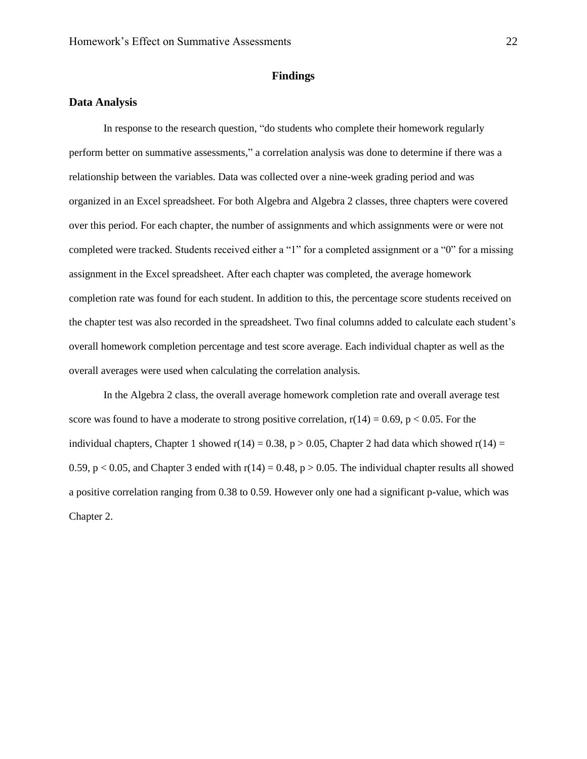#### **Findings**

#### <span id="page-22-1"></span><span id="page-22-0"></span>**Data Analysis**

In response to the research question, "do students who complete their homework regularly perform better on summative assessments," a correlation analysis was done to determine if there was a relationship between the variables. Data was collected over a nine-week grading period and was organized in an Excel spreadsheet. For both Algebra and Algebra 2 classes, three chapters were covered over this period. For each chapter, the number of assignments and which assignments were or were not completed were tracked. Students received either a "1" for a completed assignment or a "0" for a missing assignment in the Excel spreadsheet. After each chapter was completed, the average homework completion rate was found for each student. In addition to this, the percentage score students received on the chapter test was also recorded in the spreadsheet. Two final columns added to calculate each student's overall homework completion percentage and test score average. Each individual chapter as well as the overall averages were used when calculating the correlation analysis.

In the Algebra 2 class, the overall average homework completion rate and overall average test score was found to have a moderate to strong positive correlation,  $r(14) = 0.69$ ,  $p < 0.05$ . For the individual chapters, Chapter 1 showed r(14) = 0.38, p > 0.05, Chapter 2 had data which showed r(14) = 0.59, p < 0.05, and Chapter 3 ended with  $r(14) = 0.48$ , p > 0.05. The individual chapter results all showed a positive correlation ranging from 0.38 to 0.59. However only one had a significant p-value, which was Chapter 2.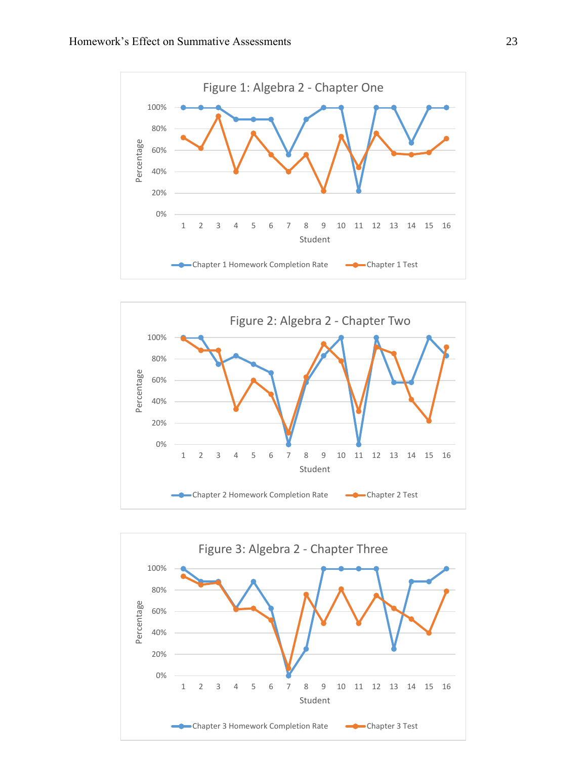



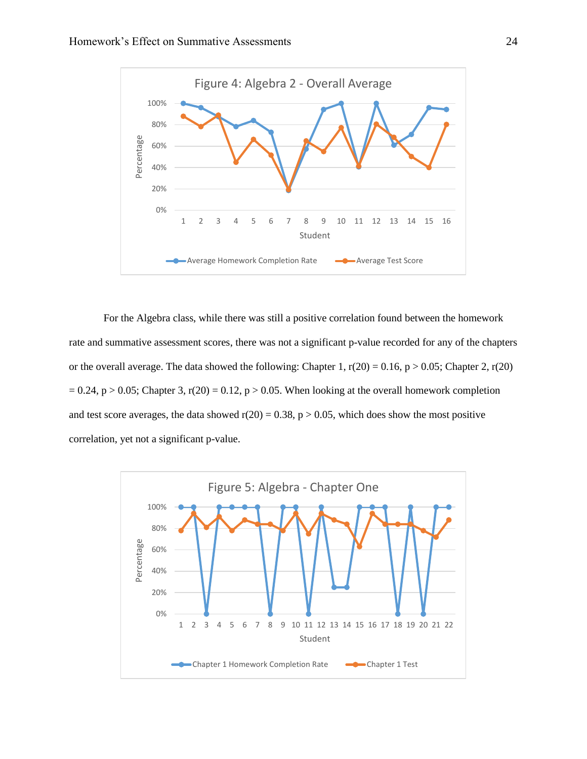

For the Algebra class, while there was still a positive correlation found between the homework rate and summative assessment scores, there was not a significant p-value recorded for any of the chapters or the overall average. The data showed the following: Chapter 1,  $r(20) = 0.16$ ,  $p > 0.05$ ; Chapter 2,  $r(20)$  $= 0.24$ , p  $> 0.05$ ; Chapter 3, r(20) = 0.12, p  $> 0.05$ . When looking at the overall homework completion and test score averages, the data showed  $r(20) = 0.38$ ,  $p > 0.05$ , which does show the most positive correlation, yet not a significant p-value.

<span id="page-24-0"></span>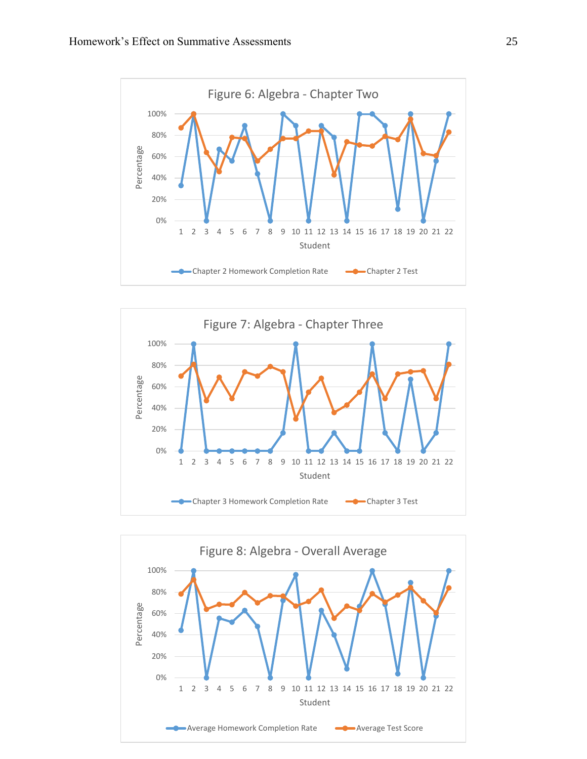



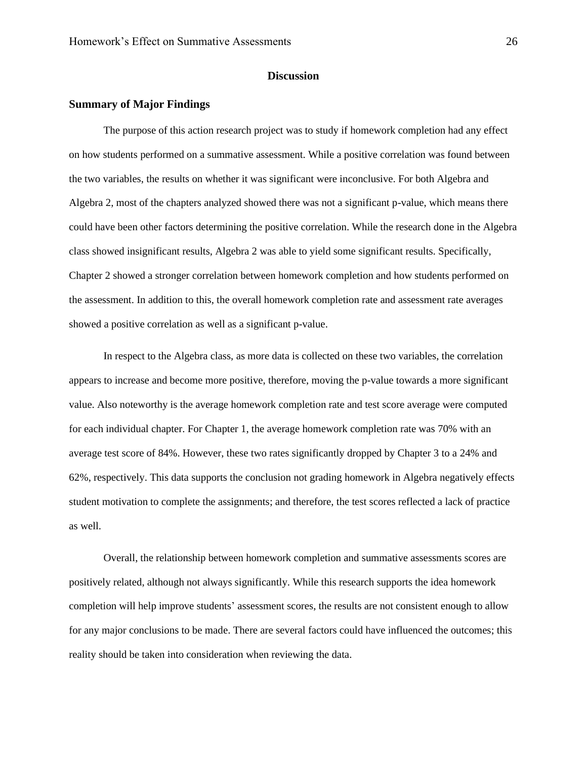#### **Discussion**

#### <span id="page-26-0"></span>**Summary of Major Findings**

The purpose of this action research project was to study if homework completion had any effect on how students performed on a summative assessment. While a positive correlation was found between the two variables, the results on whether it was significant were inconclusive. For both Algebra and Algebra 2, most of the chapters analyzed showed there was not a significant p-value, which means there could have been other factors determining the positive correlation. While the research done in the Algebra class showed insignificant results, Algebra 2 was able to yield some significant results. Specifically, Chapter 2 showed a stronger correlation between homework completion and how students performed on the assessment. In addition to this, the overall homework completion rate and assessment rate averages showed a positive correlation as well as a significant p-value.

In respect to the Algebra class, as more data is collected on these two variables, the correlation appears to increase and become more positive, therefore, moving the p-value towards a more significant value. Also noteworthy is the average homework completion rate and test score average were computed for each individual chapter. For Chapter 1, the average homework completion rate was 70% with an average test score of 84%. However, these two rates significantly dropped by Chapter 3 to a 24% and 62%, respectively. This data supports the conclusion not grading homework in Algebra negatively effects student motivation to complete the assignments; and therefore, the test scores reflected a lack of practice as well.

Overall, the relationship between homework completion and summative assessments scores are positively related, although not always significantly. While this research supports the idea homework completion will help improve students' assessment scores, the results are not consistent enough to allow for any major conclusions to be made. There are several factors could have influenced the outcomes; this reality should be taken into consideration when reviewing the data.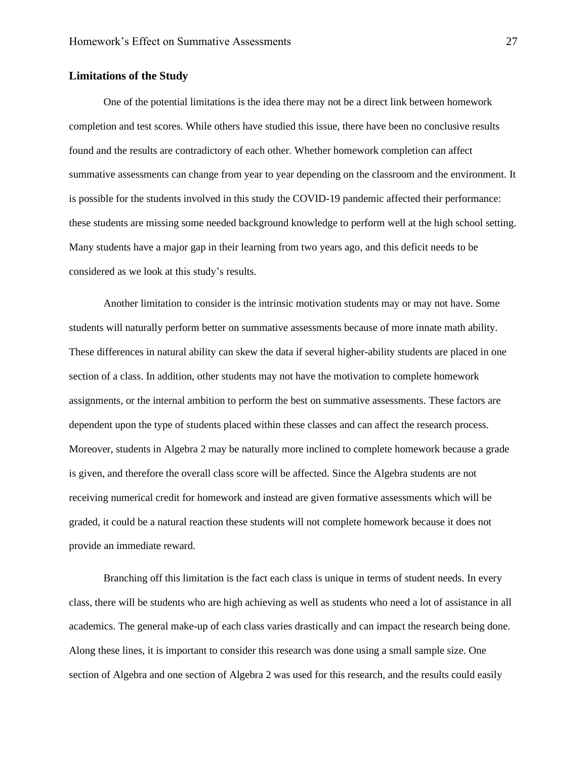#### <span id="page-27-0"></span>**Limitations of the Study**

One of the potential limitations is the idea there may not be a direct link between homework completion and test scores. While others have studied this issue, there have been no conclusive results found and the results are contradictory of each other. Whether homework completion can affect summative assessments can change from year to year depending on the classroom and the environment. It is possible for the students involved in this study the COVID-19 pandemic affected their performance: these students are missing some needed background knowledge to perform well at the high school setting. Many students have a major gap in their learning from two years ago, and this deficit needs to be considered as we look at this study's results.

Another limitation to consider is the intrinsic motivation students may or may not have. Some students will naturally perform better on summative assessments because of more innate math ability. These differences in natural ability can skew the data if several higher-ability students are placed in one section of a class. In addition, other students may not have the motivation to complete homework assignments, or the internal ambition to perform the best on summative assessments. These factors are dependent upon the type of students placed within these classes and can affect the research process. Moreover, students in Algebra 2 may be naturally more inclined to complete homework because a grade is given, and therefore the overall class score will be affected. Since the Algebra students are not receiving numerical credit for homework and instead are given formative assessments which will be graded, it could be a natural reaction these students will not complete homework because it does not provide an immediate reward.

Branching off this limitation is the fact each class is unique in terms of student needs. In every class, there will be students who are high achieving as well as students who need a lot of assistance in all academics. The general make-up of each class varies drastically and can impact the research being done. Along these lines, it is important to consider this research was done using a small sample size. One section of Algebra and one section of Algebra 2 was used for this research, and the results could easily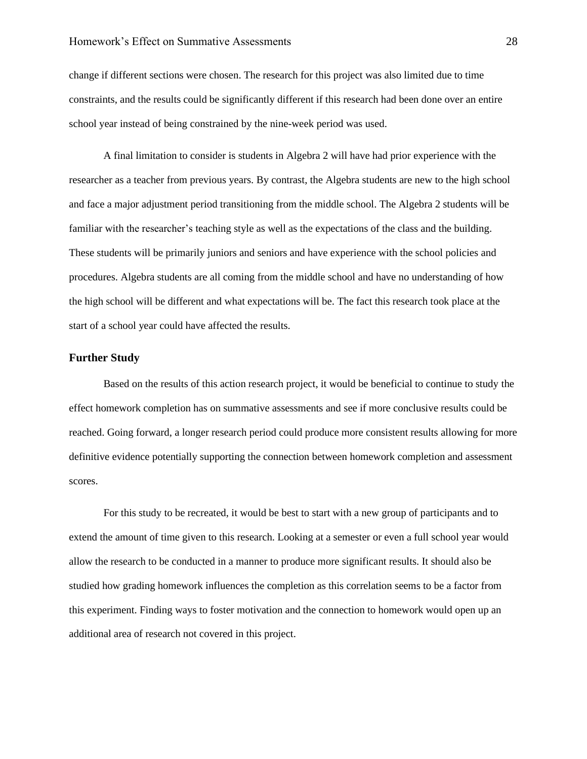change if different sections were chosen. The research for this project was also limited due to time constraints, and the results could be significantly different if this research had been done over an entire school year instead of being constrained by the nine-week period was used.

A final limitation to consider is students in Algebra 2 will have had prior experience with the researcher as a teacher from previous years. By contrast, the Algebra students are new to the high school and face a major adjustment period transitioning from the middle school. The Algebra 2 students will be familiar with the researcher's teaching style as well as the expectations of the class and the building. These students will be primarily juniors and seniors and have experience with the school policies and procedures. Algebra students are all coming from the middle school and have no understanding of how the high school will be different and what expectations will be. The fact this research took place at the start of a school year could have affected the results.

#### <span id="page-28-0"></span>**Further Study**

Based on the results of this action research project, it would be beneficial to continue to study the effect homework completion has on summative assessments and see if more conclusive results could be reached. Going forward, a longer research period could produce more consistent results allowing for more definitive evidence potentially supporting the connection between homework completion and assessment scores.

For this study to be recreated, it would be best to start with a new group of participants and to extend the amount of time given to this research. Looking at a semester or even a full school year would allow the research to be conducted in a manner to produce more significant results. It should also be studied how grading homework influences the completion as this correlation seems to be a factor from this experiment. Finding ways to foster motivation and the connection to homework would open up an additional area of research not covered in this project.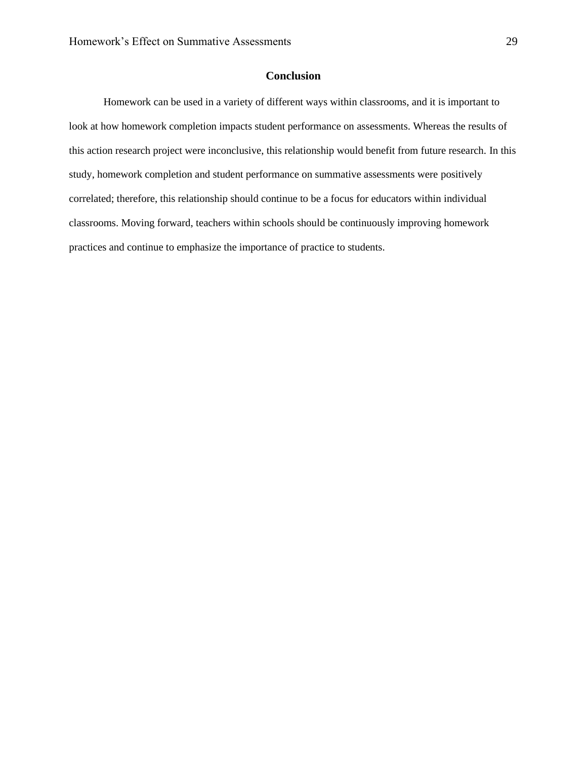#### **Conclusion**

<span id="page-29-0"></span>Homework can be used in a variety of different ways within classrooms, and it is important to look at how homework completion impacts student performance on assessments. Whereas the results of this action research project were inconclusive, this relationship would benefit from future research. In this study, homework completion and student performance on summative assessments were positively correlated; therefore, this relationship should continue to be a focus for educators within individual classrooms. Moving forward, teachers within schools should be continuously improving homework practices and continue to emphasize the importance of practice to students.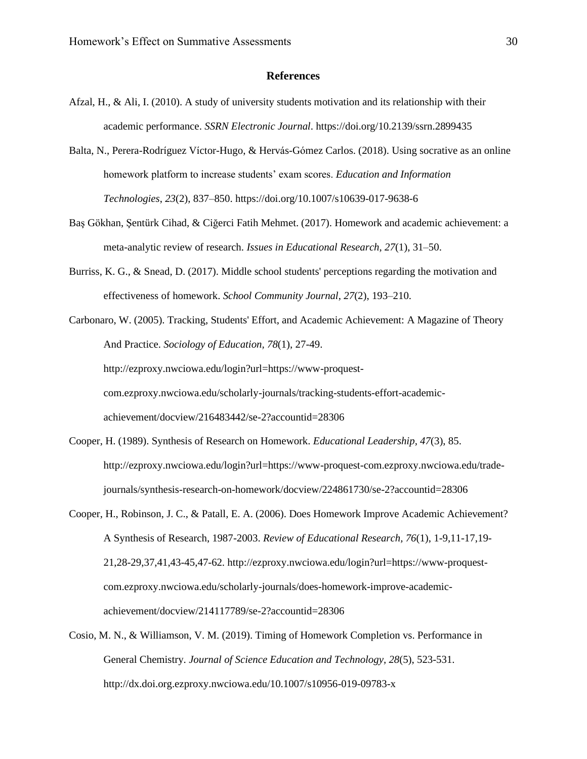#### **References**

- <span id="page-30-0"></span>Afzal, H., & Ali, I. (2010). A study of university students motivation and its relationship with their academic performance. *SSRN Electronic Journal*. https://doi.org/10.2139/ssrn.2899435
- Balta, N., Perera-Rodríguez Víctor-Hugo, & Hervás-Gómez Carlos. (2018). Using socrative as an online homework platform to increase students' exam scores. *Education and Information Technologies*, *23*(2), 837–850. https://doi.org/10.1007/s10639-017-9638-6
- Baş Gökhan, Şentürk Cihad, & Ciğerci Fatih Mehmet. (2017). Homework and academic achievement: a meta-analytic review of research. *Issues in Educational Research*, *27*(1), 31–50.
- Burriss, K. G., & Snead, D. (2017). Middle school students' perceptions regarding the motivation and effectiveness of homework. *School Community Journal*, *27*(2), 193–210.
- Carbonaro, W. (2005). Tracking, Students' Effort, and Academic Achievement: A Magazine of Theory And Practice. *Sociology of Education, 78*(1), 27-49. http://ezproxy.nwciowa.edu/login?url=https://www-proquestcom.ezproxy.nwciowa.edu/scholarly-journals/tracking-students-effort-academicachievement/docview/216483442/se-2?accountid=28306
- Cooper, H. (1989). Synthesis of Research on Homework. *Educational Leadership, 47*(3), 85. http://ezproxy.nwciowa.edu/login?url=https://www-proquest-com.ezproxy.nwciowa.edu/tradejournals/synthesis-research-on-homework/docview/224861730/se-2?accountid=28306
- Cooper, H., Robinson, J. C., & Patall, E. A. (2006). Does Homework Improve Academic Achievement? A Synthesis of Research, 1987-2003. *Review of Educational Research, 76*(1), 1-9,11-17,19- 21,28-29,37,41,43-45,47-62. http://ezproxy.nwciowa.edu/login?url=https://www-proquestcom.ezproxy.nwciowa.edu/scholarly-journals/does-homework-improve-academicachievement/docview/214117789/se-2?accountid=28306
- Cosio, M. N., & Williamson, V. M. (2019). Timing of Homework Completion vs. Performance in General Chemistry. *Journal of Science Education and Technology, 28*(5), 523-531. http://dx.doi.org.ezproxy.nwciowa.edu/10.1007/s10956-019-09783-x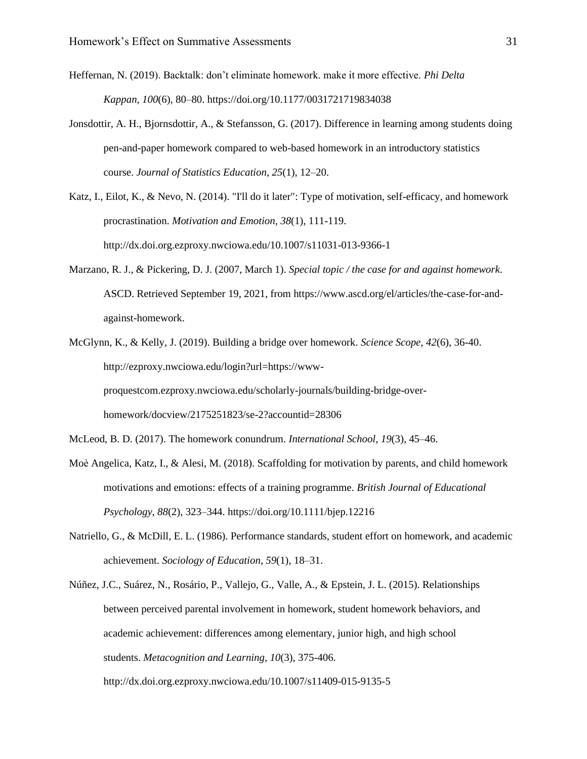Heffernan, N. (2019). Backtalk: don't eliminate homework. make it more effective. *Phi Delta Kappan*, *100*(6), 80–80. https://doi.org/10.1177/0031721719834038

- Jonsdottir, A. H., Bjornsdottir, A., & Stefansson, G. (2017). Difference in learning among students doing pen-and-paper homework compared to web-based homework in an introductory statistics course. *Journal of Statistics Education*, *25*(1), 12–20.
- Katz, I., Eilot, K., & Nevo, N. (2014). "I'll do it later": Type of motivation, self-efficacy, and homework procrastination. *Motivation and Emotion, 38*(1), 111-119. http://dx.doi.org.ezproxy.nwciowa.edu/10.1007/s11031-013-9366-1
- Marzano, R. J., & Pickering, D. J. (2007, March 1). *Special topic / the case for and against homework*. ASCD. Retrieved September 19, 2021, from https://www.ascd.org/el/articles/the-case-for-andagainst-homework.
- McGlynn, K., & Kelly, J. (2019). Building a bridge over homework. *Science Scope, 42*(6), 36-40. http://ezproxy.nwciowa.edu/login?url=https://wwwproquestcom.ezproxy.nwciowa.edu/scholarly-journals/building-bridge-overhomework/docview/2175251823/se-2?accountid=28306
- McLeod, B. D. (2017). The homework conundrum. *International School*, *19*(3), 45–46.
- Moè Angelica, Katz, I., & Alesi, M. (2018). Scaffolding for motivation by parents, and child homework motivations and emotions: effects of a training programme. *British Journal of Educational Psychology*, *88*(2), 323–344. https://doi.org/10.1111/bjep.12216
- Natriello, G., & McDill, E. L. (1986). Performance standards, student effort on homework, and academic achievement. *Sociology of Education*, *59*(1), 18–31.
- Núñez, J.C., Suárez, N., Rosário, P., Vallejo, G., Valle, A., & Epstein, J. L. (2015). Relationships between perceived parental involvement in homework, student homework behaviors, and academic achievement: differences among elementary, junior high, and high school students. *Metacognition and Learning, 10*(3), 375-406. http://dx.doi.org.ezproxy.nwciowa.edu/10.1007/s11409-015-9135-5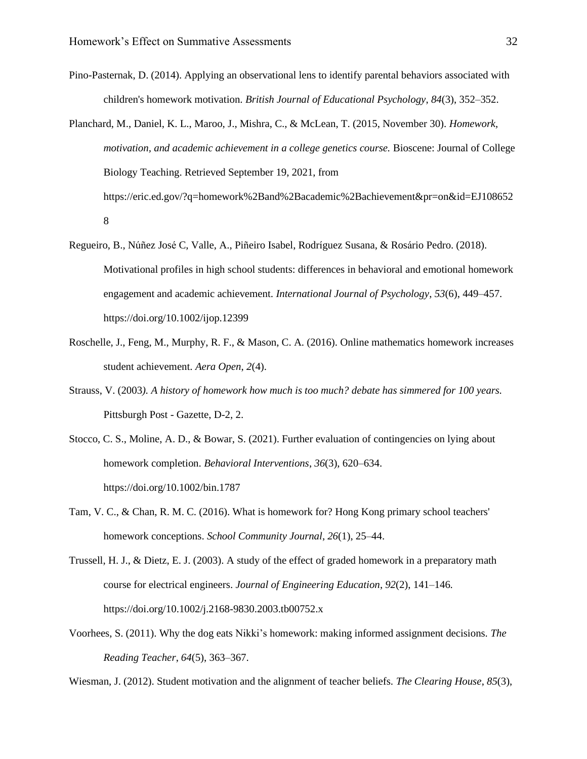- Pino-Pasternak, D. (2014). Applying an observational lens to identify parental behaviors associated with children's homework motivation. *British Journal of Educational Psychology*, *84*(3), 352–352.
- Planchard, M., Daniel, K. L., Maroo, J., Mishra, C., & McLean, T. (2015, November 30). *Homework, motivation, and academic achievement in a college genetics course.* Bioscene: Journal of College Biology Teaching. Retrieved September 19, 2021, from https://eric.ed.gov/?q=homework%2Band%2Bacademic%2Bachievement&pr=on&id=EJ108652 8
- Regueiro, B., Núñez José C, Valle, A., Piñeiro Isabel, Rodríguez Susana, & Rosário Pedro. (2018). Motivational profiles in high school students: differences in behavioral and emotional homework engagement and academic achievement. *International Journal of Psychology*, *53*(6), 449–457. https://doi.org/10.1002/ijop.12399
- Roschelle, J., Feng, M., Murphy, R. F., & Mason, C. A. (2016). Online mathematics homework increases student achievement. *Aera Open*, *2*(4).
- Strauss, V. (2003*). A history of homework how much is too much? debate has simmered for 100 years.* Pittsburgh Post - Gazette, D-2, 2.
- Stocco, C. S., Moline, A. D., & Bowar, S. (2021). Further evaluation of contingencies on lying about homework completion. *Behavioral Interventions*, *36*(3), 620–634. https://doi.org/10.1002/bin.1787
- Tam, V. C., & Chan, R. M. C. (2016). What is homework for? Hong Kong primary school teachers' homework conceptions. *School Community Journal*, *26*(1), 25–44.
- Trussell, H. J., & Dietz, E. J. (2003). A study of the effect of graded homework in a preparatory math course for electrical engineers. *Journal of Engineering Education*, *92*(2), 141–146. https://doi.org/10.1002/j.2168-9830.2003.tb00752.x
- Voorhees, S. (2011). Why the dog eats Nikki's homework: making informed assignment decisions. *The Reading Teacher*, *64*(5), 363–367.

Wiesman, J. (2012). Student motivation and the alignment of teacher beliefs. *The Clearing House*, *85*(3),